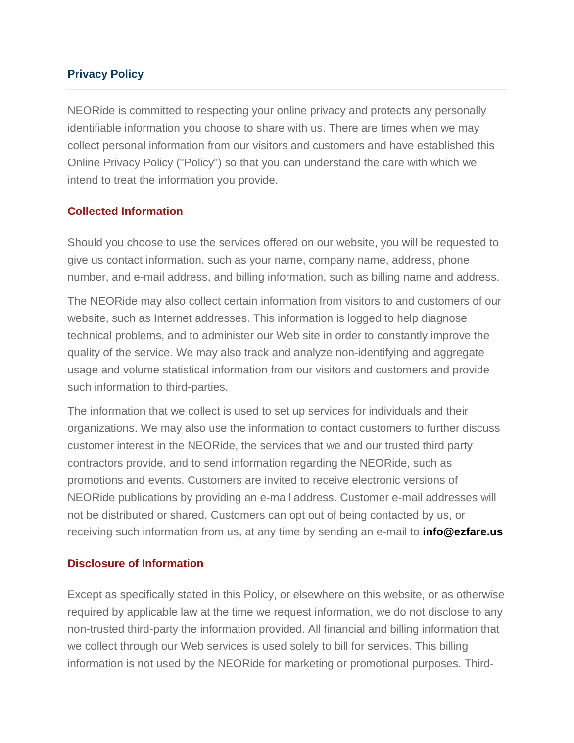### **Privacy Policy**

NEORide is committed to respecting your online privacy and protects any personally identifiable information you choose to share with us. There are times when we may collect personal information from our visitors and customers and have established this Online Privacy Policy ("Policy") so that you can understand the care with which we intend to treat the information you provide.

### **Collected Information**

Should you choose to use the services offered on our website, you will be requested to give us contact information, such as your name, company name, address, phone number, and e-mail address, and billing information, such as billing name and address.

The NEORide may also collect certain information from visitors to and customers of our website, such as Internet addresses. This information is logged to help diagnose technical problems, and to administer our Web site in order to constantly improve the quality of the service. We may also track and analyze non-identifying and aggregate usage and volume statistical information from our visitors and customers and provide such information to third-parties.

The information that we collect is used to set up services for individuals and their organizations. We may also use the information to contact customers to further discuss customer interest in the NEORide, the services that we and our trusted third party contractors provide, and to send information regarding the NEORide, such as promotions and events. Customers are invited to receive electronic versions of NEORide publications by providing an e-mail address. Customer e-mail addresses will not be distributed or shared. Customers can opt out of being contacted by us, or receiving such information from us, at any time by sending an e-mail to **info@ezfare.us**

### **Disclosure of Information**

Except as specifically stated in this Policy, or elsewhere on this website, or as otherwise required by applicable law at the time we request information, we do not disclose to any non-trusted third-party the information provided. All financial and billing information that we collect through our Web services is used solely to bill for services. This billing information is not used by the NEORide for marketing or promotional purposes. Third-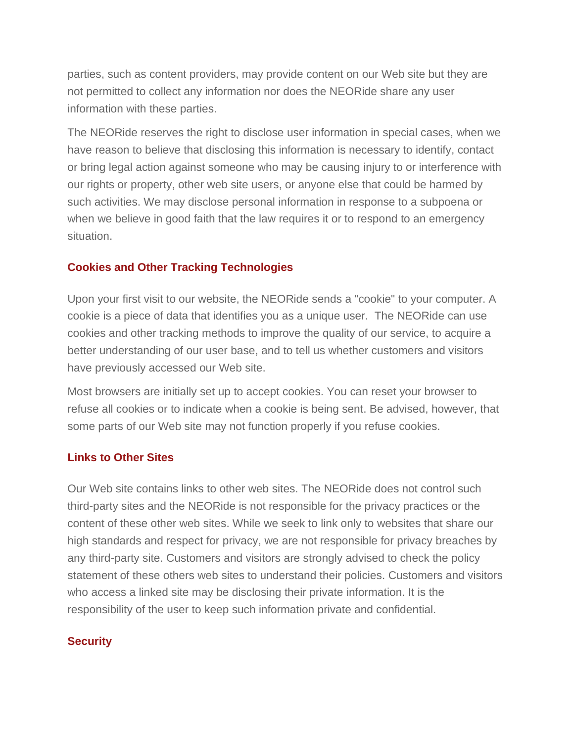parties, such as content providers, may provide content on our Web site but they are not permitted to collect any information nor does the NEORide share any user information with these parties.

The NEORide reserves the right to disclose user information in special cases, when we have reason to believe that disclosing this information is necessary to identify, contact or bring legal action against someone who may be causing injury to or interference with our rights or property, other web site users, or anyone else that could be harmed by such activities. We may disclose personal information in response to a subpoena or when we believe in good faith that the law requires it or to respond to an emergency situation.

# **Cookies and Other Tracking Technologies**

Upon your first visit to our website, the NEORide sends a "cookie" to your computer. A cookie is a piece of data that identifies you as a unique user. The NEORide can use cookies and other tracking methods to improve the quality of our service, to acquire a better understanding of our user base, and to tell us whether customers and visitors have previously accessed our Web site.

Most browsers are initially set up to accept cookies. You can reset your browser to refuse all cookies or to indicate when a cookie is being sent. Be advised, however, that some parts of our Web site may not function properly if you refuse cookies.

# **Links to Other Sites**

Our Web site contains links to other web sites. The NEORide does not control such third-party sites and the NEORide is not responsible for the privacy practices or the content of these other web sites. While we seek to link only to websites that share our high standards and respect for privacy, we are not responsible for privacy breaches by any third-party site. Customers and visitors are strongly advised to check the policy statement of these others web sites to understand their policies. Customers and visitors who access a linked site may be disclosing their private information. It is the responsibility of the user to keep such information private and confidential.

# **Security**